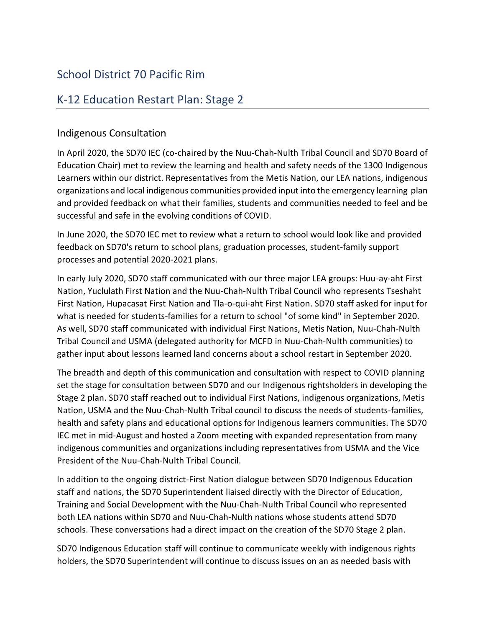## School District 70 Pacific Rim

## K-12 Education Restart Plan: Stage 2

## Indigenous Consultation

In April 2020, the SD70 IEC (co-chaired by the Nuu-Chah-Nulth Tribal Council and SD70 Board of Education Chair) met to review the learning and health and safety needs of the 1300 Indigenous Learners within our district. Representatives from the Metis Nation, our LEA nations, indigenous organizations and local indigenous communities provided input into the emergency learning plan and provided feedback on what their families, students and communities needed to feel and be successful and safe in the evolving conditions of COVID.

In June 2020, the SD70 IEC met to review what a return to school would look like and provided feedback on SD70's return to school plans, graduation processes, student-family support processes and potential 2020-2021 plans.

In early July 2020, SD70 staff communicated with our three major LEA groups: Huu-ay-aht First Nation, Yuclulath First Nation and the Nuu-Chah-Nulth Tribal Council who represents Tseshaht First Nation, Hupacasat First Nation and Tla-o-qui-aht First Nation. SD70 staff asked for input for what is needed for students-families for a return to school "of some kind" in September 2020. As well, SD70 staff communicated with individual First Nations, Metis Nation, Nuu-Chah-Nulth Tribal Council and USMA (delegated authority for MCFD in Nuu-Chah-Nulth communities) to gather input about lessons learned land concerns about a school restart in September 2020.

The breadth and depth of this communication and consultation with respect to COVID planning set the stage for consultation between SD70 and our Indigenous rightsholders in developing the Stage 2 plan. SD70 staff reached out to individual First Nations, indigenous organizations, Metis Nation, USMA and the Nuu-Chah-Nulth Tribal council to discuss the needs of students-families, health and safety plans and educational options for Indigenous learners communities. The SD70 IEC met in mid-August and hosted a Zoom meeting with expanded representation from many indigenous communities and organizations including representatives from USMA and the Vice President of the Nuu-Chah-Nulth Tribal Council.

ln addition to the ongoing district-First Nation dialogue between SD70 Indigenous Education staff and nations, the SD70 Superintendent liaised directly with the Director of Education, Training and Social Development with the Nuu-Chah-Nulth Tribal Council who represented both LEA nations within SD70 and Nuu-Chah-Nulth nations whose students attend SD70 schools. These conversations had a direct impact on the creation of the SD70 Stage 2 plan.

SD70 Indigenous Education staff will continue to communicate weekly with indigenous rights holders, the SD70 Superintendent will continue to discuss issues on an as needed basis with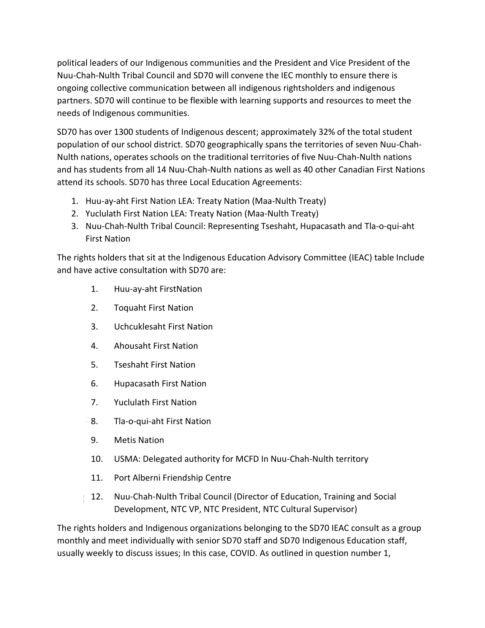political leaders of our Indigenous communities and the President and Vice President of the Nuu-Chah-Nulth Tribal Council and SD70 will convene the IEC monthly to ensure there is ongoing collective communication between all indigenous rightsholders and indigenous partners. SD70 will continue to be flexible with learning supports and resources to meet the needs of Indigenous communities.

SD70 has over 1300 students of Indigenous descent; approximately 32% of the total student population of our school district. SD70 geographically spans the territories of seven Nuu-Chah-Nulth nations, operates schools on the traditional territories of five Nuu-Chah-Nulth nations and has students from all 14 Nuu-Chah-Nulth nations as well as 40 other Canadian First Nations attend its schools. SD70 has three Local Education Agreements:

- 1. Huu-ay-aht First Nation LEA: Treaty Nation (Maa-Nulth Treaty)
- 2. Yuclulath First Nation LEA: Treaty Nation (Maa-Nulth Treaty)
- 3. Nuu-Chah-Nulth Tribal Council: Representing Tseshaht, Hupacasath and Tla-o-qui-aht First Nation

The rights holders that sit at the lndigenous Education Advisory Committee (IEAC) table Include and have active consultation with SD70 are:

- 1. Huu-ay-aht FirstNation
- 2. Toquaht First Nation
- 3. Uchcuklesaht First Nation
- 4. Ahousaht First Nation
- 5. Tseshaht First Nation
- 6. Hupacasath First Nation
- 7. Yuclulath First Nation
- 8. Tla-o-qui-aht First Nation  $18<sub>1</sub>$
- 9. Metis Nation
- 10. USMA: Delegated authority for MCFD In Nuu-Chah-Nulth territory
- 11. Port Alberni Friendship Centre
- 12. Nuu-Chah-Nulth Tribal Council (Director of Education, Training and Social Development, NTC VP, NTC President, NTC Cultural Supervisor)

The rights holders and Indigenous organizations belonging to the SD70 IEAC consult as a group monthly and meet individually with senior SD70 staff and SD70 Indigenous Education staff, usually weekly to discuss issues; In this case, COVID. As outlined in question number 1,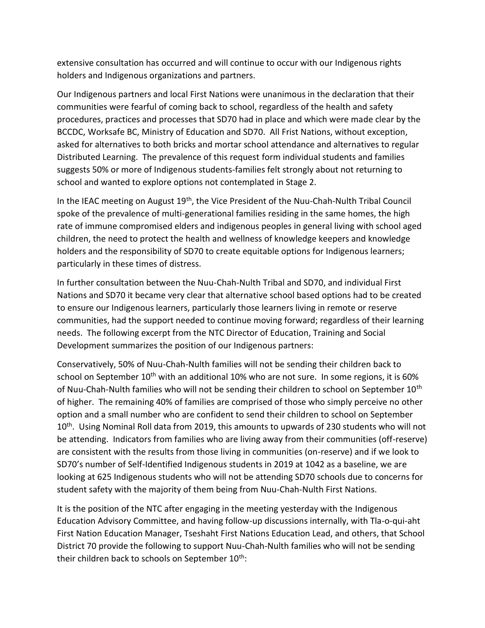extensive consultation has occurred and will continue to occur with our Indigenous rights holders and Indigenous organizations and partners.

Our Indigenous partners and local First Nations were unanimous in the declaration that their communities were fearful of coming back to school, regardless of the health and safety procedures, practices and processes that SD70 had in place and which were made clear by the BCCDC, Worksafe BC, Ministry of Education and SD70. All Frist Nations, without exception, asked for alternatives to both bricks and mortar school attendance and alternatives to regular Distributed Learning. The prevalence of this request form individual students and families suggests 50% or more of Indigenous students-families felt strongly about not returning to school and wanted to explore options not contemplated in Stage 2.

In the IEAC meeting on August  $19<sup>th</sup>$ , the Vice President of the Nuu-Chah-Nulth Tribal Council spoke of the prevalence of multi-generational families residing in the same homes, the high rate of immune compromised elders and indigenous peoples in general living with school aged children, the need to protect the health and wellness of knowledge keepers and knowledge holders and the responsibility of SD70 to create equitable options for Indigenous learners; particularly in these times of distress.

In further consultation between the Nuu-Chah-Nulth Tribal and SD70, and individual First Nations and SD70 it became very clear that alternative school based options had to be created to ensure our Indigenous learners, particularly those learners living in remote or reserve communities, had the support needed to continue moving forward; regardless of their learning needs. The following excerpt from the NTC Director of Education, Training and Social Development summarizes the position of our Indigenous partners:

Conservatively, 50% of Nuu-Chah-Nulth families will not be sending their children back to school on September  $10^{th}$  with an additional 10% who are not sure. In some regions, it is 60% of Nuu-Chah-Nulth families who will not be sending their children to school on September 10<sup>th</sup> of higher. The remaining 40% of families are comprised of those who simply perceive no other option and a small number who are confident to send their children to school on September 10<sup>th</sup>. Using Nominal Roll data from 2019, this amounts to upwards of 230 students who will not be attending. Indicators from families who are living away from their communities (off-reserve) are consistent with the results from those living in communities (on-reserve) and if we look to SD70's number of Self-Identified Indigenous students in 2019 at 1042 as a baseline, we are looking at 625 Indigenous students who will not be attending SD70 schools due to concerns for student safety with the majority of them being from Nuu-Chah-Nulth First Nations.

It is the position of the NTC after engaging in the meeting yesterday with the Indigenous Education Advisory Committee, and having follow-up discussions internally, with Tla-o-qui-aht First Nation Education Manager, Tseshaht First Nations Education Lead, and others, that School District 70 provide the following to support Nuu-Chah-Nulth families who will not be sending their children back to schools on September 10<sup>th</sup>: